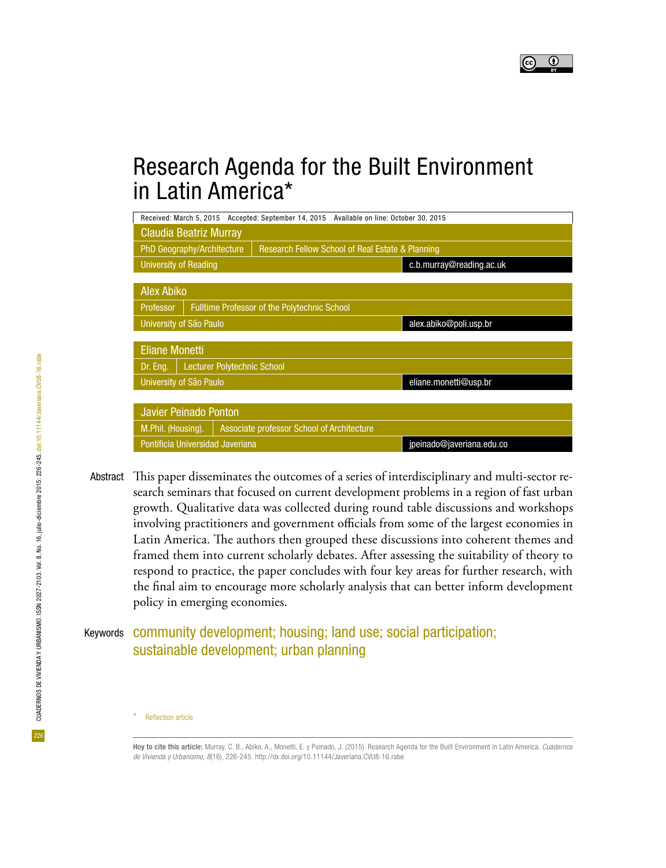

# Research Agenda for the Built Environment in Latin America\*

| Received: March 5, 2015 Accepted: September 14, 2015 Available on line: October 30, 2015  |                                                     |  |                           |  |  |  |  |  |  |
|-------------------------------------------------------------------------------------------|-----------------------------------------------------|--|---------------------------|--|--|--|--|--|--|
| Claudia Beatriz Murray                                                                    |                                                     |  |                           |  |  |  |  |  |  |
| <b>Research Fellow School of Real Estate &amp; Planning</b><br>PhD Geography/Architecture |                                                     |  |                           |  |  |  |  |  |  |
| <b>University of Reading</b>                                                              |                                                     |  | c.b.murray@reading.ac.uk  |  |  |  |  |  |  |
|                                                                                           |                                                     |  |                           |  |  |  |  |  |  |
| <b>Alex Abiko</b>                                                                         |                                                     |  |                           |  |  |  |  |  |  |
| <b>Professor</b>                                                                          | <b>Fulltime Professor of the Polytechnic School</b> |  |                           |  |  |  |  |  |  |
| University of São Paulo                                                                   |                                                     |  | alex.abiko@poli.usp.br    |  |  |  |  |  |  |
|                                                                                           |                                                     |  |                           |  |  |  |  |  |  |
| <b>Eliane Monetti</b>                                                                     |                                                     |  |                           |  |  |  |  |  |  |
| <b>Lecturer Polytechnic School</b><br>Dr. Eng.                                            |                                                     |  |                           |  |  |  |  |  |  |
| University of São Paulo                                                                   |                                                     |  | eliane.monetti@usp.br     |  |  |  |  |  |  |
|                                                                                           |                                                     |  |                           |  |  |  |  |  |  |
| <b>Javier Peinado Ponton</b>                                                              |                                                     |  |                           |  |  |  |  |  |  |
| M.Phil. (Housing).<br>Associate professor School of Architecture                          |                                                     |  |                           |  |  |  |  |  |  |
| Pontificia Universidad Javeriana                                                          |                                                     |  | jpeinado@javeriana.edu.co |  |  |  |  |  |  |

This paper disseminates the outcomes of a series of interdisciplinary and multi-sector research seminars that focused on current development problems in a region of fast urban growth. Qualitative data was collected during round table discussions and workshops involving practitioners and government officials from some of the largest economies in Latin America. The authors then grouped these discussions into coherent themes and framed them into current scholarly debates. After assessing the suitability of theory to respond to practice, the paper concludes with four key areas for further research, with the final aim to encourage more scholarly analysis that can better inform development policy in emerging economies. Abstract

## Keywords community development; housing; land use; social participation; sustainable development; urban planning

**Reflection article** 

Hoy to cite this article: Murray, C. B., Abiko, A., Monetti, E. y Peinado, J. (2015). Research Agenda for the Built Environment in Latin America. *Cuadernos de Vivienda y Urbanismo*, *8*(16), 226-245. http://dx.doi.org/10.11144/Javeriana.CVU8-16.rabe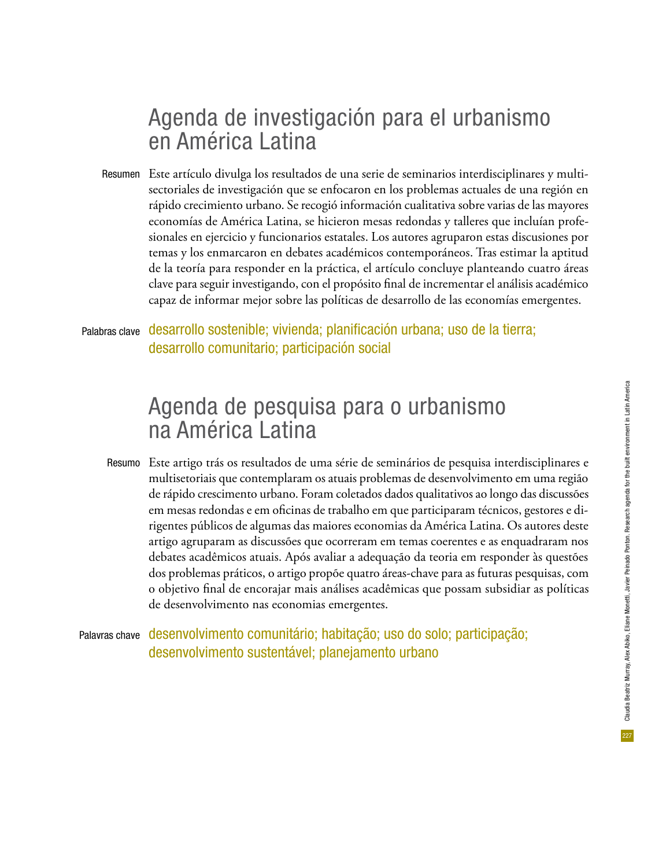# Agenda de investigación para el urbanismo en América Latina

Este artículo divulga los resultados de una serie de seminarios interdisciplinares y multi-Resumen sectoriales de investigación que se enfocaron en los problemas actuales de una región en rápido crecimiento urbano. Se recogió información cualitativa sobre varias de las mayores economías de América Latina, se hicieron mesas redondas y talleres que incluían profesionales en ejercicio y funcionarios estatales. Los autores agruparon estas discusiones por temas y los enmarcaron en debates académicos contemporáneos. Tras estimar la aptitud de la teoría para responder en la práctica, el artículo concluye planteando cuatro áreas clave para seguir investigando, con el propósito final de incrementar el análisis académico capaz de informar mejor sobre las políticas de desarrollo de las economías emergentes.

desarrollo sostenible; vivienda; planificación urbana; uso de la tierra; desarrollo comunitario; participación social Palabras clave

# Agenda de pesquisa para o urbanismo na América Latina

Este artigo trás os resultados de uma série de seminários de pesquisa interdisciplinares e Resumo multisetoriais que contemplaram os atuais problemas de desenvolvimento em uma região de rápido crescimento urbano. Foram coletados dados qualitativos ao longo das discussões em mesas redondas e em oficinas de trabalho em que participaram técnicos, gestores e dirigentes públicos de algumas das maiores economias da América Latina. Os autores deste artigo agruparam as discussões que ocorreram em temas coerentes e as enquadraram nos debates acadêmicos atuais. Após avaliar a adequação da teoria em responder às questões dos problemas práticos, o artigo propõe quatro áreas-chave para as futuras pesquisas, com o objetivo final de encorajar mais análises acadêmicas que possam subsidiar as políticas de desenvolvimento nas economias emergentes.

Palavras chave desenvolvimento comunitário; habitação; uso do solo; participação; desenvolvimento sustentável; planejamento urbano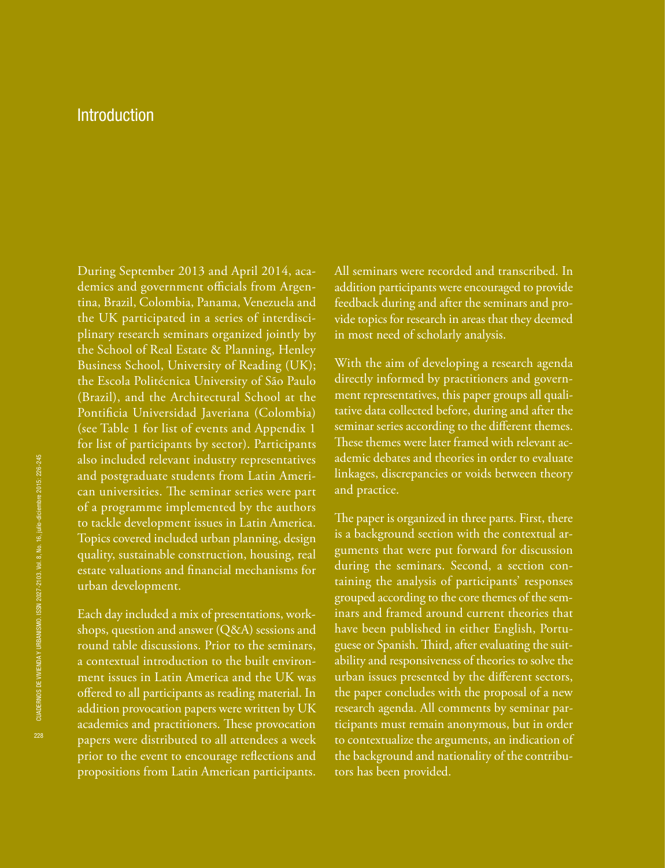### **Introduction**

During September 2013 and April 2014, academics and government officials from Argentina, Brazil, Colombia, Panama, Venezuela and the UK participated in a series of interdisciplinary research seminars organized jointly by the School of Real Estate & Planning, Henley Business School, University of Reading (UK); the Escola Politécnica University of São Paulo (Brazil), and the Architectural School at the Pontificia Universidad Javeriana (Colombia) (see Table 1 for list of events and Appendix 1 for list of participants by sector). Participants also included relevant industry representatives and postgraduate students from Latin American universities. The seminar series were part of a programme implemented by the authors to tackle development issues in Latin America. Topics covered included urban planning, design quality, sustainable construction, housing, real estate valuations and financial mechanisms for urban development.

Each day included a mix of presentations, workshops, question and answer (Q&A) sessions and round table discussions. Prior to the seminars, a contextual introduction to the built environment issues in Latin America and the UK was offered to all participants as reading material. In addition provocation papers were written by UK academics and practitioners. These provocation papers were distributed to all attendees a week prior to the event to encourage reflections and propositions from Latin American participants.

All seminars were recorded and transcribed. In addition participants were encouraged to provide feedback during and after the seminars and provide topics for research in areas that they deemed in most need of scholarly analysis.

With the aim of developing a research agenda directly informed by practitioners and government representatives, this paper groups all qualitative data collected before, during and after the seminar series according to the different themes. These themes were later framed with relevant academic debates and theories in order to evaluate linkages, discrepancies or voids between theory and practice.

The paper is organized in three parts. First, there is a background section with the contextual arguments that were put forward for discussion during the seminars. Second, a section containing the analysis of participants' responses grouped according to the core themes of the seminars and framed around current theories that have been published in either English, Portuguese or Spanish. Third, after evaluating the suitability and responsiveness of theories to solve the urban issues presented by the different sectors, the paper concludes with the proposal of a new research agenda. All comments by seminar participants must remain anonymous, but in order to contextualize the arguments, an indication of the background and nationality of the contributors has been provided.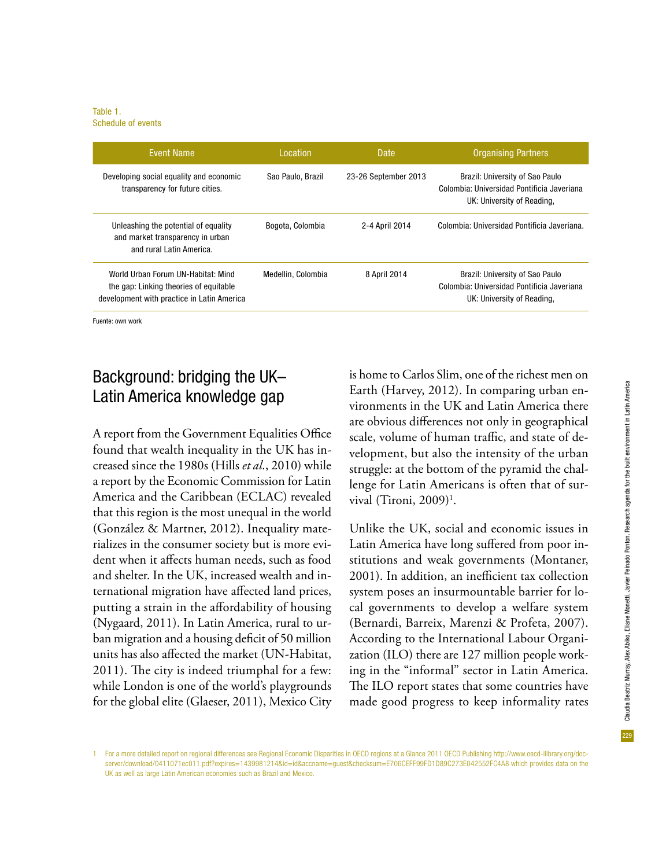Table 1. Schedule of events

| <b>Fvent Name</b>                                                                                                          | Location           | <b>Date</b>          | <b>Organising Partners</b>                                                                                  |
|----------------------------------------------------------------------------------------------------------------------------|--------------------|----------------------|-------------------------------------------------------------------------------------------------------------|
| Developing social equality and economic<br>transparency for future cities.                                                 | Sao Paulo, Brazil  | 23-26 September 2013 | Brazil: University of Sao Paulo<br>Colombia: Universidad Pontificia Javeriana<br>UK: University of Reading, |
| Unleashing the potential of equality<br>and market transparency in urban<br>and rural Latin America.                       | Bogota, Colombia   | 2-4 April 2014       | Colombia: Universidad Pontificia Javeriana.                                                                 |
| World Urban Forum UN-Habitat: Mind<br>the gap: Linking theories of equitable<br>development with practice in Latin America | Medellin, Colombia | 8 April 2014         | Brazil: University of Sao Paulo<br>Colombia: Universidad Pontificia Javeriana<br>UK: University of Reading, |

Fuente: own work

## Background: bridging the UK– Latin America knowledge gap

A report from the Government Equalities Office found that wealth inequality in the UK has increased since the 1980s (Hills *et al*., 2010) while a report by the Economic Commission for Latin America and the Caribbean (ECLAC) revealed that this region is the most unequal in the world (González & Martner, 2012). Inequality materializes in the consumer society but is more evident when it affects human needs, such as food and shelter. In the UK, increased wealth and international migration have affected land prices, putting a strain in the affordability of housing (Nygaard, 2011). In Latin America, rural to urban migration and a housing deficit of 50 million units has also affected the market (UN-Habitat, 2011). The city is indeed triumphal for a few: while London is one of the world's playgrounds for the global elite (Glaeser, 2011), Mexico City

is home to Carlos Slim, one of the richest men on Earth (Harvey, 2012). In comparing urban environments in the UK and Latin America there are obvious differences not only in geographical scale, volume of human traffic, and state of development, but also the intensity of the urban struggle: at the bottom of the pyramid the challenge for Latin Americans is often that of survival (Tironi, 2009)<sup>1</sup>.

Unlike the UK, social and economic issues in Latin America have long suffered from poor institutions and weak governments (Montaner, 2001). In addition, an inefficient tax collection system poses an insurmountable barrier for local governments to develop a welfare system (Bernardi, Barreix, Marenzi & Profeta, 2007). According to the International Labour Organization (ILO) there are 127 million people working in the "informal" sector in Latin America. The ILO report states that some countries have made good progress to keep informality rates

<sup>1</sup> For a more detailed report on regional differences see Regional Economic Disparities in OECD regions at a Glance 2011 OECD Publishing http://www.oecd-ilibrary.org/docserver/download/0411071ec011.pdf?expires=1439981214&id=id&accname=guest&checksum=E706CEFF99FD1D89C273E042552FC4A8 which provides data on the UK as well as large Latin American economies such as Brazil and Mexico.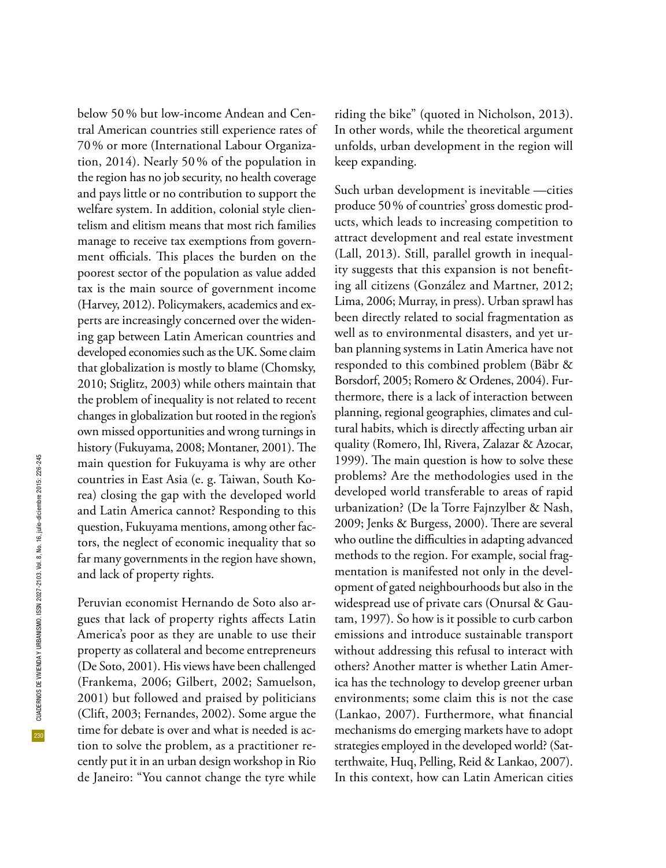230

below 50% but low-income Andean and Central American countries still experience rates of 70% or more (International Labour Organization, 2014). Nearly 50 % of the population in the region has no job security, no health coverage and pays little or no contribution to support the welfare system. In addition, colonial style clientelism and elitism means that most rich families manage to receive tax exemptions from government officials. This places the burden on the poorest sector of the population as value added tax is the main source of government income (Harvey, 2012). Policymakers, academics and experts are increasingly concerned over the widening gap between Latin American countries and developed economies such as the UK. Some claim that globalization is mostly to blame (Chomsky, 2010; Stiglitz, 2003) while others maintain that the problem of inequality is not related to recent changes in globalization but rooted in the region's own missed opportunities and wrong turnings in history (Fukuyama, 2008; Montaner, 2001). The main question for Fukuyama is why are other countries in East Asia (e. g. Taiwan, South Korea) closing the gap with the developed world and Latin America cannot? Responding to this question, Fukuyama mentions, among other factors, the neglect of economic inequality that so far many governments in the region have shown, and lack of property rights.

Peruvian economist Hernando de Soto also argues that lack of property rights affects Latin America's poor as they are unable to use their property as collateral and become entrepreneurs (De Soto, 2001). His views have been challenged (Frankema, 2006; Gilbert, 2002; Samuelson, 2001) but followed and praised by politicians (Clift, 2003; Fernandes, 2002). Some argue the time for debate is over and what is needed is action to solve the problem, as a practitioner recently put it in an urban design workshop in Rio de Janeiro: "You cannot change the tyre while riding the bike" (quoted in Nicholson, 2013). In other words, while the theoretical argument unfolds, urban development in the region will keep expanding.

Such urban development is inevitable —cities produce 50% of countries' gross domestic products, which leads to increasing competition to attract development and real estate investment (Lall, 2013). Still, parallel growth in inequality suggests that this expansion is not benefiting all citizens (González and Martner, 2012; Lima, 2006; Murray, in press). Urban sprawl has been directly related to social fragmentation as well as to environmental disasters, and yet urban planning systems in Latin America have not responded to this combined problem (Bäbr & Borsdorf, 2005; Romero & Ordenes, 2004). Furthermore, there is a lack of interaction between planning, regional geographies, climates and cultural habits, which is directly affecting urban air quality (Romero, Ihl, Rivera, Zalazar & Azocar, 1999). The main question is how to solve these problems? Are the methodologies used in the developed world transferable to areas of rapid urbanization? (De la Torre Fajnzylber & Nash, 2009; Jenks & Burgess, 2000). There are several who outline the difficulties in adapting advanced methods to the region. For example, social fragmentation is manifested not only in the development of gated neighbourhoods but also in the widespread use of private cars (Onursal & Gautam, 1997). So how is it possible to curb carbon emissions and introduce sustainable transport without addressing this refusal to interact with others? Another matter is whether Latin America has the technology to develop greener urban environments; some claim this is not the case (Lankao, 2007). Furthermore, what financial mechanisms do emerging markets have to adopt strategies employed in the developed world? (Satterthwaite, Huq, Pelling, Reid & Lankao, 2007). In this context, how can Latin American cities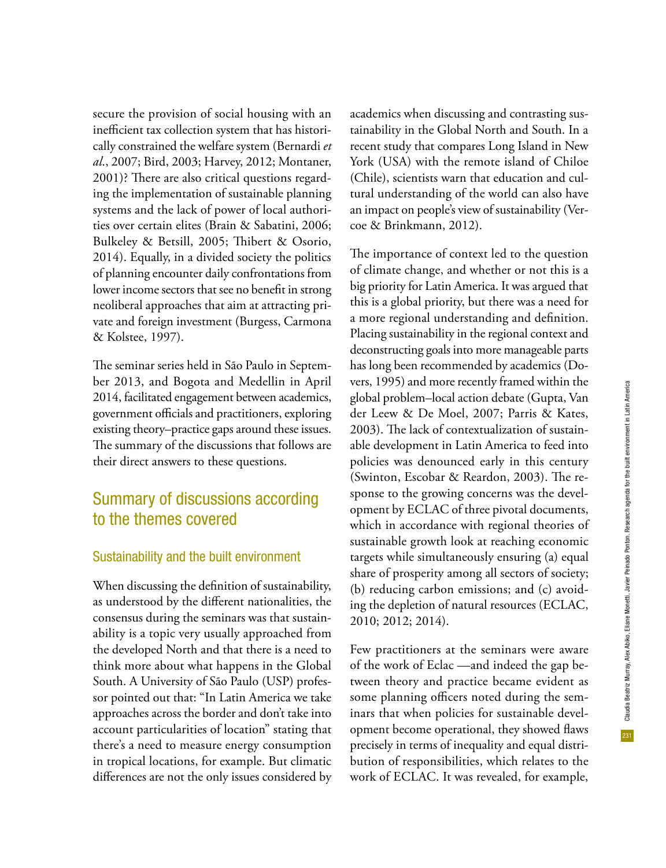secure the provision of social housing with an inefficient tax collection system that has historically constrained the welfare system (Bernardi *et al*., 2007; Bird, 2003; Harvey, 2012; Montaner, 2001)? There are also critical questions regarding the implementation of sustainable planning systems and the lack of power of local authorities over certain elites (Brain & Sabatini, 2006; Bulkeley & Betsill, 2005; Thibert & Osorio, 2014). Equally, in a divided society the politics of planning encounter daily confrontations from lower income sectors that see no benefit in strong neoliberal approaches that aim at attracting private and foreign investment (Burgess, Carmona & Kolstee, 1997).

The seminar series held in São Paulo in September 2013, and Bogota and Medellin in April 2014, facilitated engagement between academics, government officials and practitioners, exploring existing theory–practice gaps around these issues. The summary of the discussions that follows are their direct answers to these questions.

## Summary of discussions according to the themes covered

#### Sustainability and the built environment

When discussing the definition of sustainability, as understood by the different nationalities, the consensus during the seminars was that sustainability is a topic very usually approached from the developed North and that there is a need to think more about what happens in the Global South. A University of São Paulo (USP) professor pointed out that: "In Latin America we take approaches across the border and don't take into account particularities of location" stating that there's a need to measure energy consumption in tropical locations, for example. But climatic differences are not the only issues considered by

academics when discussing and contrasting sustainability in the Global North and South. In a recent study that compares Long Island in New York (USA) with the remote island of Chiloe (Chile), scientists warn that education and cultural understanding of the world can also have an impact on people's view of sustainability (Vercoe & Brinkmann, 2012).

The importance of context led to the question of climate change, and whether or not this is a big priority for Latin America. It was argued that this is a global priority, but there was a need for a more regional understanding and definition. Placing sustainability in the regional context and deconstructing goals into more manageable parts has long been recommended by academics (Dovers, 1995) and more recently framed within the global problem–local action debate (Gupta, Van der Leew & De Moel, 2007; Parris & Kates, 2003). The lack of contextualization of sustainable development in Latin America to feed into policies was denounced early in this century (Swinton, Escobar & Reardon, 2003). The response to the growing concerns was the development by ECLAC of three pivotal documents, which in accordance with regional theories of sustainable growth look at reaching economic targets while simultaneously ensuring (a) equal share of prosperity among all sectors of society; (b) reducing carbon emissions; and (c) avoiding the depletion of natural resources (ECLAC, 2010; 2012; 2014).

Few practitioners at the seminars were aware of the work of Eclac —and indeed the gap between theory and practice became evident as some planning officers noted during the seminars that when policies for sustainable development become operational, they showed flaws precisely in terms of inequality and equal distribution of responsibilities, which relates to the work of ECLAC. It was revealed, for example,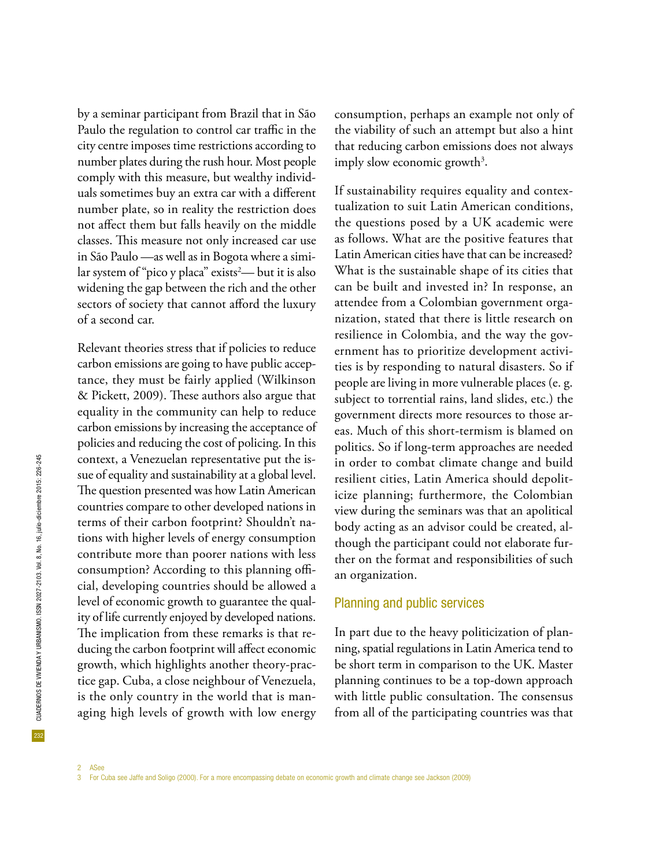by a seminar participant from Brazil that in São Paulo the regulation to control car traffic in the city centre imposes time restrictions according to number plates during the rush hour. Most people comply with this measure, but wealthy individuals sometimes buy an extra car with a different number plate, so in reality the restriction does not affect them but falls heavily on the middle classes. This measure not only increased car use in São Paulo —as well as in Bogota where a similar system of "pico y placa" exists<sup>2</sup>— but it is also widening the gap between the rich and the other sectors of society that cannot afford the luxury of a second car.

Relevant theories stress that if policies to reduce carbon emissions are going to have public acceptance, they must be fairly applied (Wilkinson & Pickett, 2009). These authors also argue that equality in the community can help to reduce carbon emissions by increasing the acceptance of policies and reducing the cost of policing. In this context, a Venezuelan representative put the issue of equality and sustainability at a global level. The question presented was how Latin American countries compare to other developed nations in terms of their carbon footprint? Shouldn't nations with higher levels of energy consumption contribute more than poorer nations with less consumption? According to this planning official, developing countries should be allowed a level of economic growth to guarantee the quality of life currently enjoyed by developed nations. The implication from these remarks is that reducing the carbon footprint will affect economic growth, which highlights another theory-practice gap. Cuba, a close neighbour of Venezuela, is the only country in the world that is managing high levels of growth with low energy consumption, perhaps an example not only of the viability of such an attempt but also a hint that reducing carbon emissions does not always imply slow economic growth<sup>3</sup>.

If sustainability requires equality and contextualization to suit Latin American conditions, the questions posed by a UK academic were as follows. What are the positive features that Latin American cities have that can be increased? What is the sustainable shape of its cities that can be built and invested in? In response, an attendee from a Colombian government organization, stated that there is little research on resilience in Colombia, and the way the government has to prioritize development activities is by responding to natural disasters. So if people are living in more vulnerable places (e. g. subject to torrential rains, land slides, etc.) the government directs more resources to those areas. Much of this short-termism is blamed on politics. So if long-term approaches are needed in order to combat climate change and build resilient cities, Latin America should depoliticize planning; furthermore, the Colombian view during the seminars was that an apolitical body acting as an advisor could be created, although the participant could not elaborate further on the format and responsibilities of such an organization.

#### Planning and public services

In part due to the heavy politicization of planning, spatial regulations in Latin America tend to be short term in comparison to the UK. Master planning continues to be a top-down approach with little public consultation. The consensus from all of the participating countries was that

<sup>2</sup> ASee 3 For Cuba see Jaffe and Soligo (2000). For a more encompassing debate on economic growth and climate change see Jackson (2009)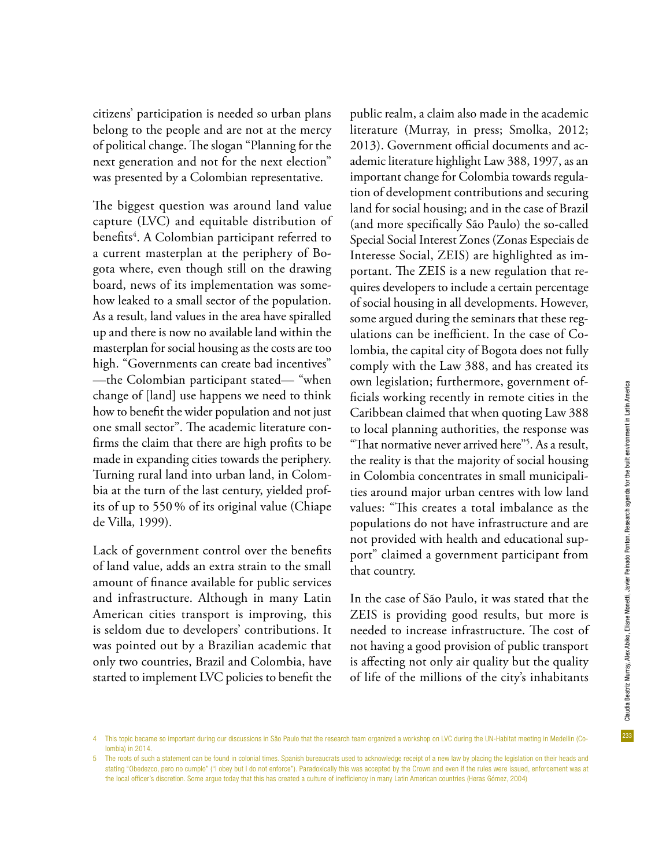233

citizens' participation is needed so urban plans belong to the people and are not at the mercy of political change. The slogan "Planning for the next generation and not for the next election" was presented by a Colombian representative.

The biggest question was around land value capture (LVC) and equitable distribution of benefits<sup>4</sup>. A Colombian participant referred to a current masterplan at the periphery of Bogota where, even though still on the drawing board, news of its implementation was somehow leaked to a small sector of the population. As a result, land values in the area have spiralled up and there is now no available land within the masterplan for social housing as the costs are too high. "Governments can create bad incentives" —the Colombian participant stated— "when change of [land] use happens we need to think how to benefit the wider population and not just one small sector". The academic literature confirms the claim that there are high profits to be made in expanding cities towards the periphery. Turning rural land into urban land, in Colombia at the turn of the last century, yielded profits of up to 550 % of its original value (Chiape de Villa, 1999).

Lack of government control over the benefits of land value, adds an extra strain to the small amount of finance available for public services and infrastructure. Although in many Latin American cities transport is improving, this is seldom due to developers' contributions. It was pointed out by a Brazilian academic that only two countries, Brazil and Colombia, have started to implement LVC policies to benefit the

public realm, a claim also made in the academic literature (Murray, in press; Smolka, 2012; 2013). Government official documents and academic literature highlight Law 388, 1997, as an important change for Colombia towards regulation of development contributions and securing land for social housing; and in the case of Brazil (and more specifically São Paulo) the so-called Special Social Interest Zones (Zonas Especiais de Interesse Social, ZEIS) are highlighted as important. The ZEIS is a new regulation that requires developers to include a certain percentage of social housing in all developments. However, some argued during the seminars that these regulations can be inefficient. In the case of Colombia, the capital city of Bogota does not fully comply with the Law 388, and has created its own legislation; furthermore, government officials working recently in remote cities in the Caribbean claimed that when quoting Law 388 to local planning authorities, the response was "That normative never arrived here"5 . As a result, the reality is that the majority of social housing in Colombia concentrates in small municipalities around major urban centres with low land values: "This creates a total imbalance as the populations do not have infrastructure and are not provided with health and educational support" claimed a government participant from that country.

In the case of São Paulo, it was stated that the ZEIS is providing good results, but more is needed to increase infrastructure. The cost of not having a good provision of public transport is affecting not only air quality but the quality of life of the millions of the city's inhabitants

<sup>4</sup> This topic became so important during our discussions in São Paulo that the research team organized a workshop on LVC during the UN-Habitat meeting in Medellin (Colombia) in 2014.

<sup>5</sup> The roots of such a statement can be found in colonial times. Spanish bureaucrats used to acknowledge receipt of a new law by placing the legislation on their heads and stating "Obedezco, pero no cumplo" ("I obey but I do not enforce"). Paradoxically this was accepted by the Crown and even if the rules were issued, enforcement was at the local officer's discretion. Some argue today that this has created a culture of inefficiency in many Latin American countries (Heras Gómez, 2004)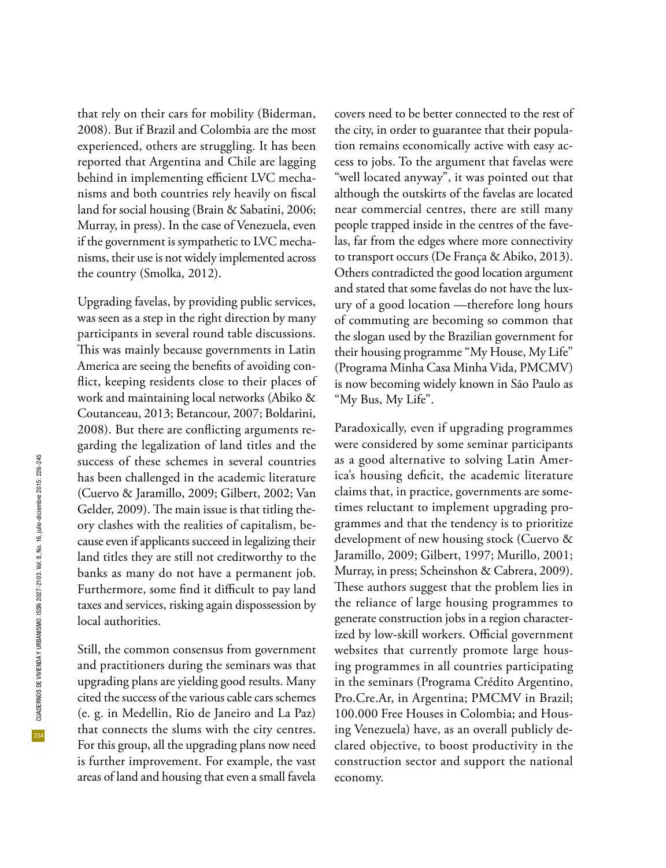that rely on their cars for mobility (Biderman, 2008). But if Brazil and Colombia are the most experienced, others are struggling. It has been reported that Argentina and Chile are lagging behind in implementing efficient LVC mechanisms and both countries rely heavily on fiscal land for social housing (Brain & Sabatini, 2006; Murray, in press). In the case of Venezuela, even if the government is sympathetic to LVC mechanisms, their use is not widely implemented across the country (Smolka, 2012).

Upgrading favelas, by providing public services, was seen as a step in the right direction by many participants in several round table discussions. This was mainly because governments in Latin America are seeing the benefits of avoiding conflict, keeping residents close to their places of work and maintaining local networks (Abiko & Coutanceau, 2013; Betancour, 2007; Boldarini, 2008). But there are conflicting arguments regarding the legalization of land titles and the success of these schemes in several countries has been challenged in the academic literature (Cuervo & Jaramillo, 2009; Gilbert, 2002; Van Gelder, 2009). The main issue is that titling theory clashes with the realities of capitalism, because even if applicants succeed in legalizing their land titles they are still not creditworthy to the banks as many do not have a permanent job. Furthermore, some find it difficult to pay land taxes and services, risking again dispossession by local authorities.

Still, the common consensus from government and practitioners during the seminars was that upgrading plans are yielding good results. Many cited the success of the various cable cars schemes (e. g. in Medellin, Rio de Janeiro and La Paz) that connects the slums with the city centres. For this group, all the upgrading plans now need is further improvement. For example, the vast areas of land and housing that even a small favela covers need to be better connected to the rest of the city, in order to guarantee that their population remains economically active with easy access to jobs. To the argument that favelas were "well located anyway", it was pointed out that although the outskirts of the favelas are located near commercial centres, there are still many people trapped inside in the centres of the favelas, far from the edges where more connectivity to transport occurs (De França & Abiko, 2013). Others contradicted the good location argument and stated that some favelas do not have the luxury of a good location —therefore long hours of commuting are becoming so common that the slogan used by the Brazilian government for their housing programme "My House, My Life" (Programa Minha Casa Minha Vida, PMCMV) is now becoming widely known in São Paulo as "My Bus, My Life".

Paradoxically, even if upgrading programmes were considered by some seminar participants as a good alternative to solving Latin America's housing deficit, the academic literature claims that, in practice, governments are sometimes reluctant to implement upgrading programmes and that the tendency is to prioritize development of new housing stock (Cuervo & Jaramillo, 2009; Gilbert, 1997; Murillo, 2001; Murray, in press; Scheinshon & Cabrera, 2009). These authors suggest that the problem lies in the reliance of large housing programmes to generate construction jobs in a region characterized by low-skill workers. Official government websites that currently promote large housing programmes in all countries participating in the seminars (Programa Crédito Argentino, Pro.Cre.Ar, in Argentina; PMCMV in Brazil; 100.000 Free Houses in Colombia; and Housing Venezuela) have, as an overall publicly declared objective, to boost productivity in the construction sector and support the national economy.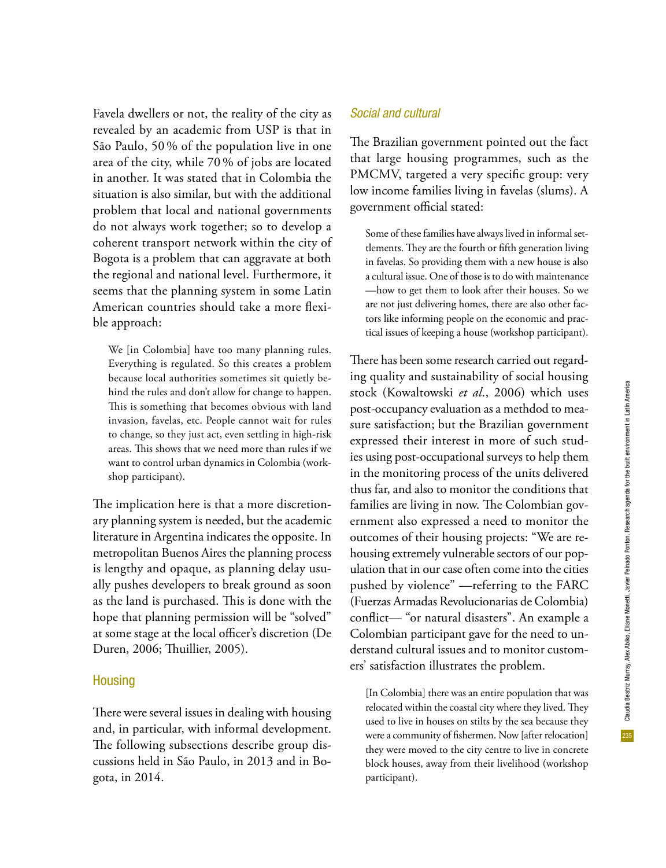235

Favela dwellers or not, the reality of the city as revealed by an academic from USP is that in São Paulo, 50 % of the population live in one area of the city, while 70 % of jobs are located in another. It was stated that in Colombia the situation is also similar, but with the additional problem that local and national governments do not always work together; so to develop a coherent transport network within the city of Bogota is a problem that can aggravate at both the regional and national level. Furthermore, it seems that the planning system in some Latin American countries should take a more flexible approach:

We [in Colombia] have too many planning rules. Everything is regulated. So this creates a problem because local authorities sometimes sit quietly behind the rules and don't allow for change to happen. This is something that becomes obvious with land invasion, favelas, etc. People cannot wait for rules to change, so they just act, even settling in high-risk areas. This shows that we need more than rules if we want to control urban dynamics in Colombia (workshop participant).

The implication here is that a more discretionary planning system is needed, but the academic literature in Argentina indicates the opposite. In metropolitan Buenos Aires the planning process is lengthy and opaque, as planning delay usually pushes developers to break ground as soon as the land is purchased. This is done with the hope that planning permission will be "solved" at some stage at the local officer's discretion (De Duren, 2006; Thuillier, 2005).

#### **Housing**

There were several issues in dealing with housing and, in particular, with informal development. The following subsections describe group discussions held in São Paulo, in 2013 and in Bogota, in 2014.

### *Social and cultural*

The Brazilian government pointed out the fact that large housing programmes, such as the PMCMV, targeted a very specific group: very low income families living in favelas (slums). A government official stated:

Some of these families have always lived in informal settlements. They are the fourth or fifth generation living in favelas. So providing them with a new house is also a cultural issue. One of those is to do with maintenance —how to get them to look after their houses. So we are not just delivering homes, there are also other factors like informing people on the economic and practical issues of keeping a house (workshop participant).

There has been some research carried out regarding quality and sustainability of social housing stock (Kowaltowski *et al*., 2006) which uses post-occupancy evaluation as a methdod to measure satisfaction; but the Brazilian government expressed their interest in more of such studies using post-occupational surveys to help them in the monitoring process of the units delivered thus far, and also to monitor the conditions that families are living in now. The Colombian government also expressed a need to monitor the outcomes of their housing projects: "We are rehousing extremely vulnerable sectors of our population that in our case often come into the cities pushed by violence" —referring to the FARC (Fuerzas Armadas Revolucionarias de Colombia) conflict— "or natural disasters". An example a Colombian participant gave for the need to understand cultural issues and to monitor customers' satisfaction illustrates the problem.

[In Colombia] there was an entire population that was relocated within the coastal city where they lived. They used to live in houses on stilts by the sea because they were a community of fishermen. Now [after relocation] they were moved to the city centre to live in concrete block houses, away from their livelihood (workshop participant).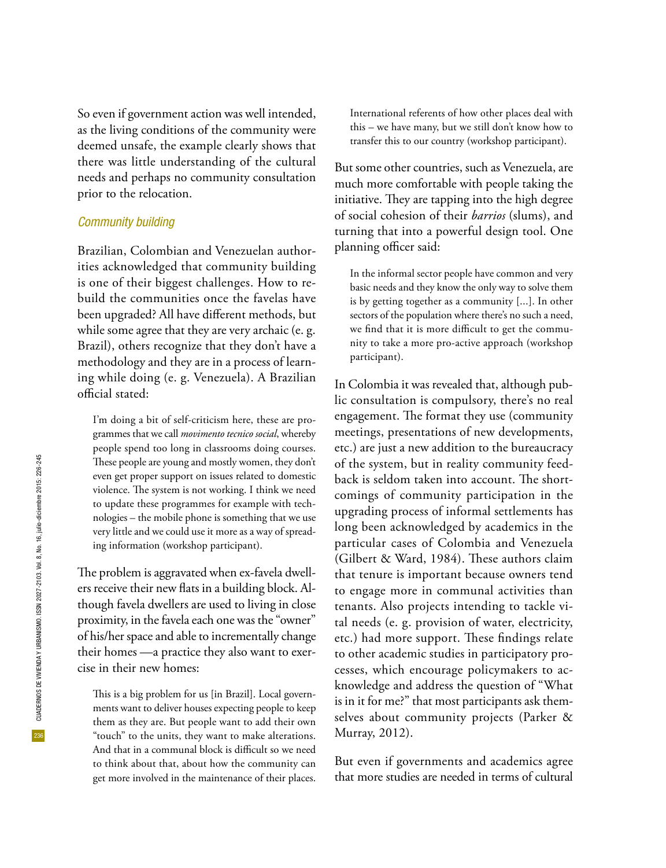So even if government action was well intended, as the living conditions of the community were deemed unsafe, the example clearly shows that there was little understanding of the cultural needs and perhaps no community consultation prior to the relocation.

#### *Community building*

Brazilian, Colombian and Venezuelan authorities acknowledged that community building is one of their biggest challenges. How to rebuild the communities once the favelas have been upgraded? All have different methods, but while some agree that they are very archaic (e. g. Brazil), others recognize that they don't have a methodology and they are in a process of learning while doing (e. g. Venezuela). A Brazilian official stated:

I'm doing a bit of self-criticism here, these are programmes that we call *movimento tecnico social*, whereby people spend too long in classrooms doing courses. These people are young and mostly women, they don't even get proper support on issues related to domestic violence. The system is not working. I think we need to update these programmes for example with technologies – the mobile phone is something that we use very little and we could use it more as a way of spreading information (workshop participant).

The problem is aggravated when ex-favela dwellers receive their new flats in a building block. Although favela dwellers are used to living in close proximity, in the favela each one was the "owner" of his/her space and able to incrementally change their homes —a practice they also want to exercise in their new homes:

This is a big problem for us [in Brazil]. Local governments want to deliver houses expecting people to keep them as they are. But people want to add their own "touch" to the units, they want to make alterations. And that in a communal block is difficult so we need to think about that, about how the community can get more involved in the maintenance of their places.

International referents of how other places deal with this – we have many, but we still don't know how to transfer this to our country (workshop participant).

But some other countries, such as Venezuela, are much more comfortable with people taking the initiative. They are tapping into the high degree of social cohesion of their *barrios* (slums), and turning that into a powerful design tool. One planning officer said:

In the informal sector people have common and very basic needs and they know the only way to solve them is by getting together as a community [...]. In other sectors of the population where there's no such a need, we find that it is more difficult to get the community to take a more pro-active approach (workshop participant).

In Colombia it was revealed that, although public consultation is compulsory, there's no real engagement. The format they use (community meetings, presentations of new developments, etc.) are just a new addition to the bureaucracy of the system, but in reality community feedback is seldom taken into account. The shortcomings of community participation in the upgrading process of informal settlements has long been acknowledged by academics in the particular cases of Colombia and Venezuela (Gilbert & Ward, 1984). These authors claim that tenure is important because owners tend to engage more in communal activities than tenants. Also projects intending to tackle vital needs (e. g. provision of water, electricity, etc.) had more support. These findings relate to other academic studies in participatory processes, which encourage policymakers to acknowledge and address the question of "What is in it for me?" that most participants ask themselves about community projects (Parker & Murray, 2012).

But even if governments and academics agree that more studies are needed in terms of cultural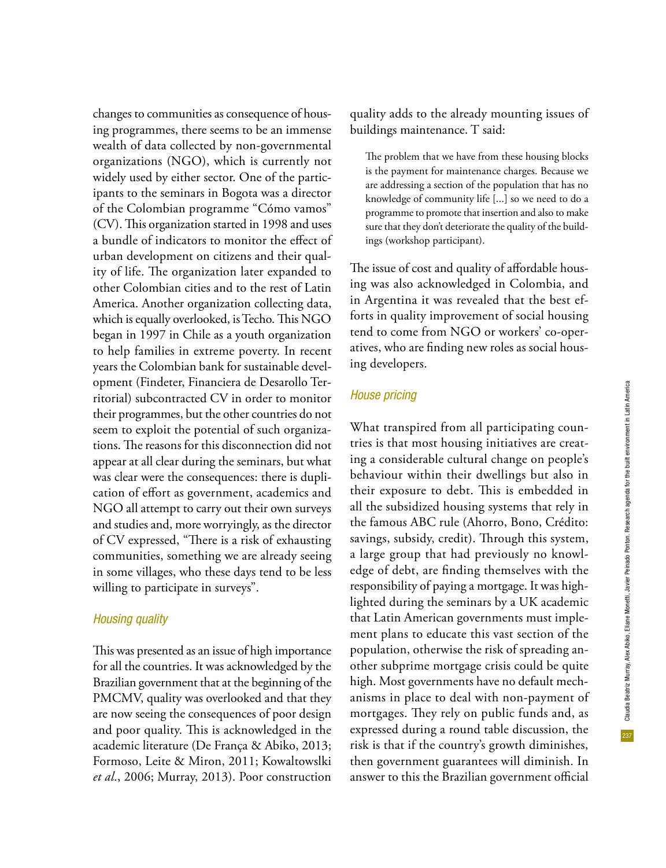changes to communities as consequence of housing programmes, there seems to be an immense wealth of data collected by non-governmental organizations (NGO), which is currently not widely used by either sector. One of the participants to the seminars in Bogota was a director of the Colombian programme "Cómo vamos" (CV). This organization started in 1998 and uses a bundle of indicators to monitor the effect of urban development on citizens and their quality of life. The organization later expanded to other Colombian cities and to the rest of Latin America. Another organization collecting data, which is equally overlooked, is Techo. This NGO began in 1997 in Chile as a youth organization to help families in extreme poverty. In recent years the Colombian bank for sustainable development (Findeter, Financiera de Desarollo Territorial) subcontracted CV in order to monitor their programmes, but the other countries do not seem to exploit the potential of such organizations. The reasons for this disconnection did not appear at all clear during the seminars, but what was clear were the consequences: there is duplication of effort as government, academics and NGO all attempt to carry out their own surveys and studies and, more worryingly, as the director of CV expressed, "There is a risk of exhausting communities, something we are already seeing in some villages, who these days tend to be less willing to participate in surveys".

#### *Housing quality*

This was presented as an issue of high importance for all the countries. It was acknowledged by the Brazilian government that at the beginning of the PMCMV, quality was overlooked and that they are now seeing the consequences of poor design and poor quality. This is acknowledged in the academic literature (De França & Abiko, 2013; Formoso, Leite & Miron, 2011; Kowaltowslki *et al*., 2006; Murray, 2013). Poor construction

quality adds to the already mounting issues of buildings maintenance. T said:

The problem that we have from these housing blocks is the payment for maintenance charges. Because we are addressing a section of the population that has no knowledge of community life [...] so we need to do a programme to promote that insertion and also to make sure that they don't deteriorate the quality of the buildings (workshop participant).

The issue of cost and quality of affordable housing was also acknowledged in Colombia, and in Argentina it was revealed that the best efforts in quality improvement of social housing tend to come from NGO or workers' co-operatives, who are finding new roles as social housing developers.

#### *House pricing*

What transpired from all participating countries is that most housing initiatives are creating a considerable cultural change on people's behaviour within their dwellings but also in their exposure to debt. This is embedded in all the subsidized housing systems that rely in the famous ABC rule (Ahorro, Bono, Crédito: savings, subsidy, credit). Through this system, a large group that had previously no knowledge of debt, are finding themselves with the responsibility of paying a mortgage. It was highlighted during the seminars by a UK academic that Latin American governments must implement plans to educate this vast section of the population, otherwise the risk of spreading another subprime mortgage crisis could be quite high. Most governments have no default mechanisms in place to deal with non-payment of mortgages. They rely on public funds and, as expressed during a round table discussion, the risk is that if the country's growth diminishes, then government guarantees will diminish. In answer to this the Brazilian government official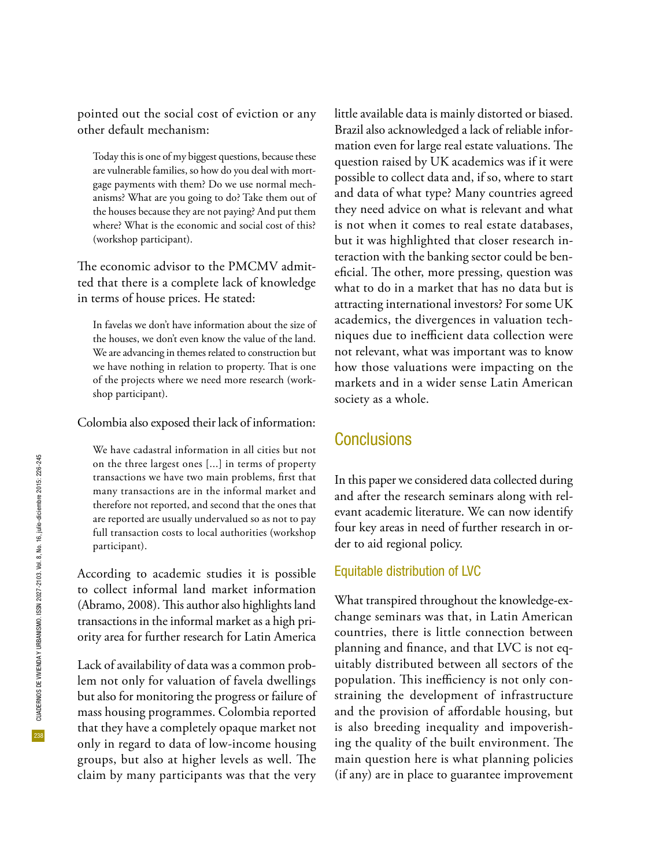pointed out the social cost of eviction or any other default mechanism:

Today this is one of my biggest questions, because these are vulnerable families, so how do you deal with mortgage payments with them? Do we use normal mechanisms? What are you going to do? Take them out of the houses because they are not paying? And put them where? What is the economic and social cost of this? (workshop participant).

The economic advisor to the PMCMV admitted that there is a complete lack of knowledge in terms of house prices. He stated:

In favelas we don't have information about the size of the houses, we don't even know the value of the land. We are advancing in themes related to construction but we have nothing in relation to property. That is one of the projects where we need more research (workshop participant).

#### Colombia also exposed their lack of information:

We have cadastral information in all cities but not on the three largest ones [...] in terms of property transactions we have two main problems, first that many transactions are in the informal market and therefore not reported, and second that the ones that are reported are usually undervalued so as not to pay full transaction costs to local authorities (workshop participant).

According to academic studies it is possible to collect informal land market information (Abramo, 2008). This author also highlights land transactions in the informal market as a high priority area for further research for Latin America

Lack of availability of data was a common problem not only for valuation of favela dwellings but also for monitoring the progress or failure of mass housing programmes. Colombia reported that they have a completely opaque market not only in regard to data of low-income housing groups, but also at higher levels as well. The claim by many participants was that the very little available data is mainly distorted or biased. Brazil also acknowledged a lack of reliable information even for large real estate valuations. The question raised by UK academics was if it were possible to collect data and, if so, where to start and data of what type? Many countries agreed they need advice on what is relevant and what is not when it comes to real estate databases, but it was highlighted that closer research interaction with the banking sector could be beneficial. The other, more pressing, question was what to do in a market that has no data but is attracting international investors? For some UK academics, the divergences in valuation techniques due to inefficient data collection were not relevant, what was important was to know how those valuations were impacting on the markets and in a wider sense Latin American society as a whole.

### **Conclusions**

In this paper we considered data collected during and after the research seminars along with relevant academic literature. We can now identify four key areas in need of further research in order to aid regional policy.

#### Equitable distribution of LVC

What transpired throughout the knowledge-exchange seminars was that, in Latin American countries, there is little connection between planning and finance, and that LVC is not equitably distributed between all sectors of the population. This inefficiency is not only constraining the development of infrastructure and the provision of affordable housing, but is also breeding inequality and impoverishing the quality of the built environment. The main question here is what planning policies (if any) are in place to guarantee improvement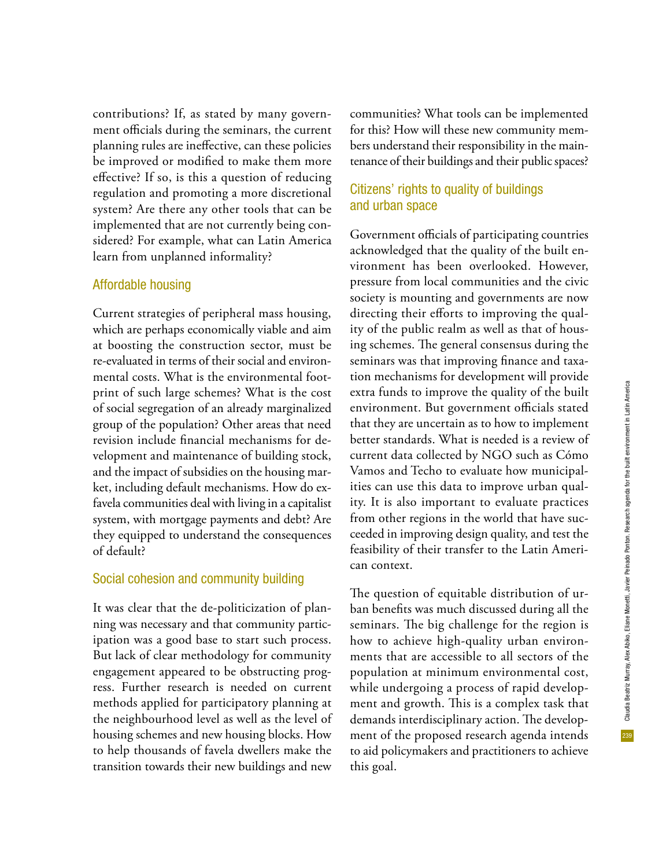contributions? If, as stated by many government officials during the seminars, the current planning rules are ineffective, can these policies be improved or modified to make them more effective? If so, is this a question of reducing regulation and promoting a more discretional system? Are there any other tools that can be implemented that are not currently being considered? For example, what can Latin America learn from unplanned informality?

#### Affordable housing

Current strategies of peripheral mass housing, which are perhaps economically viable and aim at boosting the construction sector, must be re-evaluated in terms of their social and environmental costs. What is the environmental footprint of such large schemes? What is the cost of social segregation of an already marginalized group of the population? Other areas that need revision include financial mechanisms for development and maintenance of building stock, and the impact of subsidies on the housing market, including default mechanisms. How do exfavela communities deal with living in a capitalist system, with mortgage payments and debt? Are they equipped to understand the consequences of default?

#### Social cohesion and community building

It was clear that the de-politicization of planning was necessary and that community participation was a good base to start such process. But lack of clear methodology for community engagement appeared to be obstructing progress. Further research is needed on current methods applied for participatory planning at the neighbourhood level as well as the level of housing schemes and new housing blocks. How to help thousands of favela dwellers make the transition towards their new buildings and new

communities? What tools can be implemented for this? How will these new community members understand their responsibility in the maintenance of their buildings and their public spaces?

#### Citizens' rights to quality of buildings and urban space

Government officials of participating countries acknowledged that the quality of the built environment has been overlooked. However, pressure from local communities and the civic society is mounting and governments are now directing their efforts to improving the quality of the public realm as well as that of housing schemes. The general consensus during the seminars was that improving finance and taxation mechanisms for development will provide extra funds to improve the quality of the built environment. But government officials stated that they are uncertain as to how to implement better standards. What is needed is a review of current data collected by NGO such as Cómo Vamos and Techo to evaluate how municipalities can use this data to improve urban quality. It is also important to evaluate practices from other regions in the world that have succeeded in improving design quality, and test the feasibility of their transfer to the Latin American context.

The question of equitable distribution of urban benefits was much discussed during all the seminars. The big challenge for the region is how to achieve high-quality urban environments that are accessible to all sectors of the population at minimum environmental cost, while undergoing a process of rapid development and growth. This is a complex task that demands interdisciplinary action. The development of the proposed research agenda intends to aid policymakers and practitioners to achieve this goal.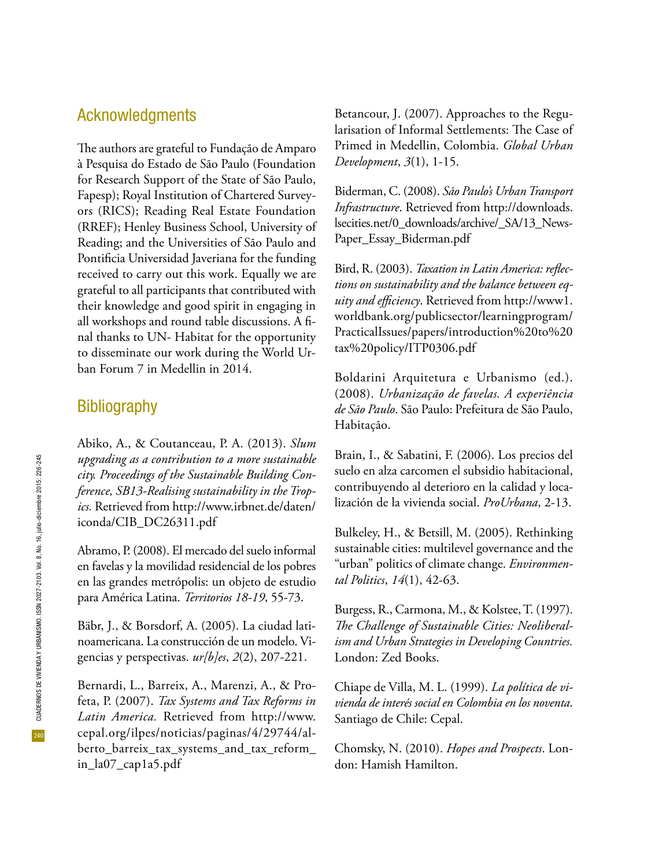## Acknowledgments

The authors are grateful to Fundação de Amparo à Pesquisa do Estado de São Paulo (Foundation for Research Support of the State of São Paulo, Fapesp); Royal Institution of Chartered Surveyors (RICS); Reading Real Estate Foundation (RREF); Henley Business School, University of Reading; and the Universities of São Paulo and Pontificia Universidad Javeriana for the funding received to carry out this work. Equally we are grateful to all participants that contributed with their knowledge and good spirit in engaging in all workshops and round table discussions. A final thanks to UN- Habitat for the opportunity to disseminate our work during the World Urban Forum 7 in Medellin in 2014.

## **Bibliography**

Abiko, A., & Coutanceau, P. A. (2013). *Slum upgrading as a contribution to a more sustainable city. Proceedings of the Sustainable Building Conference, SB13-Realising sustainability in the Tropics.* Retrieved from http://www.irbnet.de/daten/ iconda/CIB\_DC26311.pdf

Abramo, P. (2008). El mercado del suelo informal en favelas y la movilidad residencial de los pobres en las grandes metrópolis: un objeto de estudio para América Latina. *Territorios 18-19*, 55-73.

Bäbr, J., & Borsdorf, A. (2005). La ciudad latinoamericana. La construcción de un modelo. Vigencias y perspectivas. *ur[b]es*, *2*(2), 207-221.

Bernardi, L., Barreix, A., Marenzi, A., & Profeta, P. (2007). *Tax Systems and Tax Reforms in Latin America.* Retrieved from http://www. cepal.org/ilpes/noticias/paginas/4/29744/alberto\_barreix\_tax\_systems\_and\_tax\_reform\_ in\_la07\_cap1a5.pdf

Betancour, J. (2007). Approaches to the Regularisation of Informal Settlements: The Case of Primed in Medellin, Colombia. *Global Urban Development*, *3*(1), 1-15.

Biderman, C. (2008). *São Paulo's Urban Transport Infrastructure*. Retrieved from http://downloads. lsecities.net/0\_downloads/archive/\_SA/13\_News-Paper\_Essay\_Biderman.pdf

Bird, R. (2003). *Taxation in Latin America: reflections on sustainability and the balance between equity and efficiency*. Retrieved from http://www1. worldbank.org/publicsector/learningprogram/ PracticalIssues/papers/introduction%20to%20 tax%20policy/ITP0306.pdf

Boldarini Arquitetura e Urbanismo (ed.). (2008). *Urbanização de favelas. A experiência de São Paulo*. São Paulo: Prefeitura de São Paulo, Habitação.

Brain, I., & Sabatini, F. (2006). Los precios del suelo en alza carcomen el subsidio habitacional, contribuyendo al deterioro en la calidad y localización de la vivienda social. *ProUrbana*, 2-13.

Bulkeley, H., & Betsill, M. (2005). Rethinking sustainable cities: multilevel governance and the "urban" politics of climate change. *Environmental Politics*, *14*(1), 42-63.

Burgess, R., Carmona, M., & Kolstee, T. (1997). *The Challenge of Sustainable Cities: Neoliberalism and Urban Strategies in Developing Countries.*  London: Zed Books.

Chiape de Villa, M. L. (1999). *La política de vivienda de interés social en Colombia en los noventa*. Santiago de Chile: Cepal.

Chomsky, N. (2010). *Hopes and Prospects*. London: Hamish Hamilton.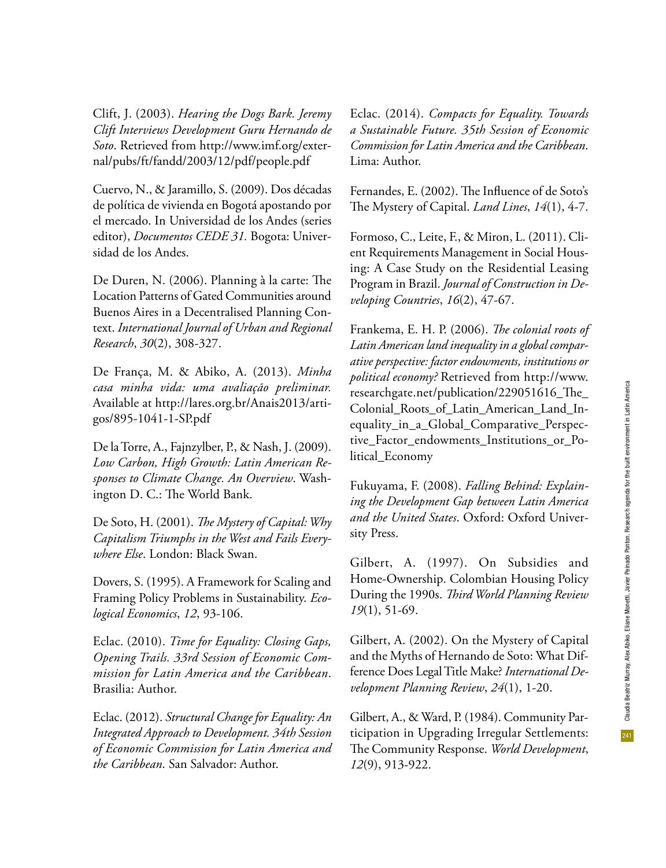Clift, J. (2003). *Hearing the Dogs Bark. Jeremy Clift Interviews Development Guru Hernando de Soto*. Retrieved from http://www.imf.org/external/pubs/ft/fandd/2003/12/pdf/people.pdf

Cuervo, N., & Jaramillo, S. (2009). Dos décadas de política de vivienda en Bogotá apostando por el mercado. In Universidad de los Andes (series editor), *Documentos CEDE 31.* Bogota: Universidad de los Andes.

De Duren, N. (2006). Planning à la carte: The Location Patterns of Gated Communities around Buenos Aires in a Decentralised Planning Context. *International Journal of Urban and Regional Research*, *30*(2), 308-327.

De França, M. & Abiko, A. (2013). *Minha casa minha vida: uma avaliação preliminar.*  Available at http://lares.org.br/Anais2013/artigos/895-1041-1-SP.pdf

De la Torre, A., Fajnzylber, P., & Nash, J. (2009). *Low Carbon, High Growth: Latin American Responses to Climate Change. An Overview*. Washington D. C.: The World Bank.

De Soto, H. (2001). *The Mystery of Capital: Why Capitalism Triumphs in the West and Fails Everywhere Else*. London: Black Swan.

Dovers, S. (1995). A Framework for Scaling and Framing Policy Problems in Sustainability. *Ecological Economics*, *12*, 93-106.

Eclac. (2010). *Time for Equality: Closing Gaps, Opening Trails. 33rd Session of Economic Commission for Latin America and the Caribbean*. Brasilia: Author.

Eclac. (2012). *Structural Change for Equality: An Integrated Approach to Development. 34th Session of Economic Commission for Latin America and the Caribbean*. San Salvador: Author.

Eclac. (2014). *Compacts for Equality. Towards a Sustainable Future. 35th Session of Economic Commission for Latin America and the Caribbean*. Lima: Author.

Fernandes, E. (2002). The Influence of de Soto's The Mystery of Capital. *Land Lines*, *14*(1), 4-7.

Formoso, C., Leite, F., & Miron, L. (2011). Client Requirements Management in Social Housing: A Case Study on the Residential Leasing Program in Brazil. *Journal of Construction in Developing Countries*, *16*(2), 47-67.

Frankema, E. H. P. (2006). *The colonial roots of Latin American land inequality in a global comparative perspective: factor endowments, institutions or political economy?* Retrieved from http://www. researchgate.net/publication/229051616\_The\_ Colonial\_Roots\_of\_Latin\_American\_Land\_Inequality\_in\_a\_Global\_Comparative\_Perspective\_Factor\_endowments\_Institutions\_or\_Political\_Economy

Fukuyama, F. (2008). *Falling Behind: Explaining the Development Gap between Latin America and the United States*. Oxford: Oxford University Press.

Gilbert, A. (1997). On Subsidies and Home-Ownership. Colombian Housing Policy During the 1990s. *Third World Planning Review 19*(1), 51-69.

Gilbert, A. (2002). On the Mystery of Capital and the Myths of Hernando de Soto: What Difference Does Legal Title Make? *International Development Planning Review*, *24*(1), 1-20.

Gilbert, A., & Ward, P. (1984). Community Participation in Upgrading Irregular Settlements: The Community Response. *World Development*, *12*(9), 913-922.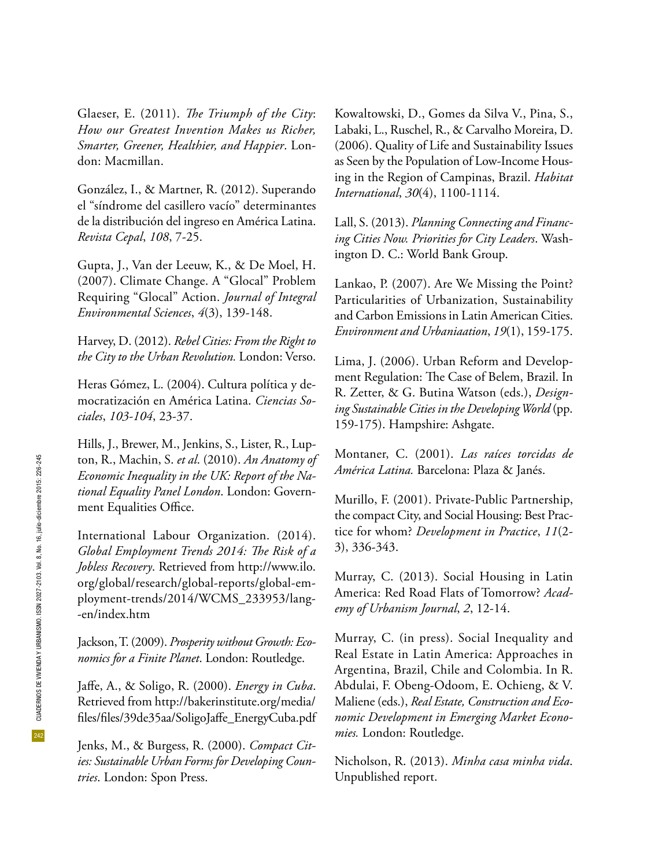Glaeser, E. (2011). *The Triumph of the City*: *How our Greatest Invention Makes us Richer, Smarter, Greener, Healthier, and Happier*. London: Macmillan.

González, I., & Martner, R. (2012). Superando el "síndrome del casillero vacío" determinantes de la distribución del ingreso en América Latina. *Revista Cepal*, *108*, 7-25.

Gupta, J., Van der Leeuw, K., & De Moel, H. (2007). Climate Change. A "Glocal" Problem Requiring "Glocal" Action. *Journal of Integral Environmental Sciences*, *4*(3), 139-148.

Harvey, D. (2012). *Rebel Cities: From the Right to the City to the Urban Revolution.* London: Verso.

Heras Gómez, L. (2004). Cultura política y democratización en América Latina. *Ciencias Sociales*, *103-104*, 23-37.

Hills, J., Brewer, M., Jenkins, S., Lister, R., Lupton, R., Machin, S. *et al*. (2010). *An Anatomy of Economic Inequality in the UK: Report of the National Equality Panel London*. London: Government Equalities Office.

International Labour Organization. (2014). *Global Employment Trends 2014: The Risk of a Jobless Recovery*. Retrieved from http://www.ilo. org/global/research/global-reports/global-employment-trends/2014/WCMS\_233953/lang- -en/index.htm

Jackson, T. (2009). *Prosperity without Growth: Economics for a Finite Planet*. London: Routledge.

Jaffe, A., & Soligo, R. (2000). *Energy in Cuba*. Retrieved from http://bakerinstitute.org/media/ files/files/39de35aa/SoligoJaffe\_EnergyCuba.pdf

Jenks, M., & Burgess, R. (2000). *Compact Cities: Sustainable Urban Forms for Developing Countries*. London: Spon Press.

Kowaltowski, D., Gomes da Silva V., Pina, S., Labaki, L., Ruschel, R., & Carvalho Moreira, D. (2006). Quality of Life and Sustainability Issues as Seen by the Population of Low-Income Housing in the Region of Campinas, Brazil. *Habitat International*, *30*(4), 1100-1114.

Lall, S. (2013). *Planning Connecting and Financing Cities Now. Priorities for City Leaders*. Washington D. C.: World Bank Group.

Lankao, P. (2007). Are We Missing the Point? Particularities of Urbanization, Sustainability and Carbon Emissions in Latin American Cities. *Environment and Urbaniaation*, *19*(1), 159-175.

Lima, J. (2006). Urban Reform and Development Regulation: The Case of Belem, Brazil. In R. Zetter, & G. Butina Watson (eds.), *Designing Sustainable Cities in the Developing World* (pp. 159-175). Hampshire: Ashgate.

Montaner, C. (2001). *Las raíces torcidas de América Latina.* Barcelona: Plaza & Janés.

Murillo, F. (2001). Private-Public Partnership, the compact City, and Social Housing: Best Practice for whom? *Development in Practice*, *11*(2- 3), 336-343.

Murray, C. (2013). Social Housing in Latin America: Red Road Flats of Tomorrow? *Academy of Urbanism Journal*, *2*, 12-14.

Murray, C. (in press). Social Inequality and Real Estate in Latin America: Approaches in Argentina, Brazil, Chile and Colombia. In R. Abdulai, F. Obeng-Odoom, E. Ochieng, & V. Maliene (eds.), *Real Estate, Construction and Economic Development in Emerging Market Economies.* London: Routledge.

Nicholson, R. (2013). *Minha casa minha vida*. Unpublished report.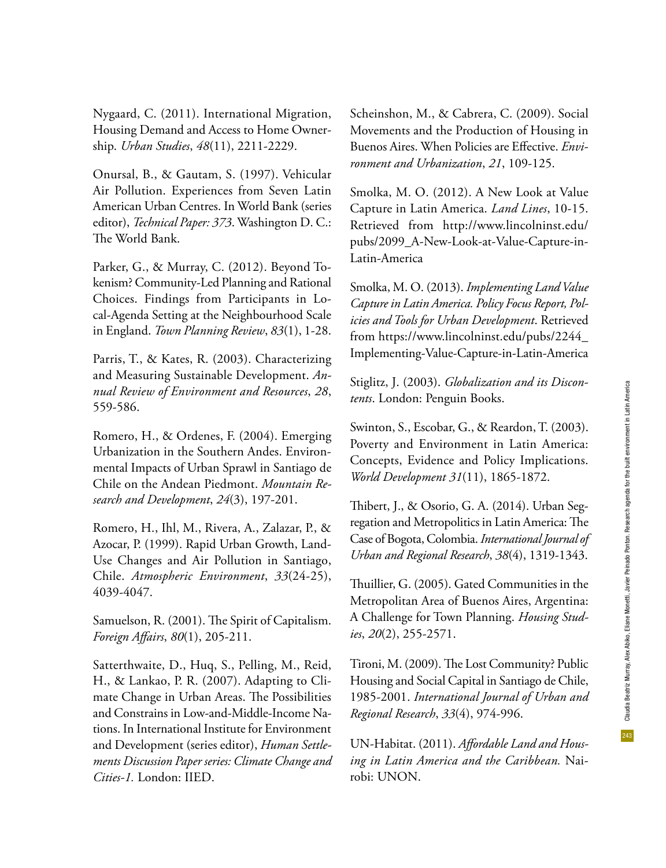Nygaard, C. (2011). International Migration, Housing Demand and Access to Home Ownership. *Urban Studies*, *48*(11), 2211-2229.

Onursal, B., & Gautam, S. (1997). Vehicular Air Pollution. Experiences from Seven Latin American Urban Centres. In World Bank (series editor), *Technical Paper: 373*. Washington D. C.: The World Bank.

Parker, G., & Murray, C. (2012). Beyond Tokenism? Community-Led Planning and Rational Choices. Findings from Participants in Local-Agenda Setting at the Neighbourhood Scale in England. *Town Planning Review*, *83*(1), 1-28.

Parris, T., & Kates, R. (2003). Characterizing and Measuring Sustainable Development. *Annual Review of Environment and Resources*, *28*, 559-586.

Romero, H., & Ordenes, F. (2004). Emerging Urbanization in the Southern Andes. Environmental Impacts of Urban Sprawl in Santiago de Chile on the Andean Piedmont. *Mountain Research and Development*, *24*(3), 197-201.

Romero, H., Ihl, M., Rivera, A., Zalazar, P., & Azocar, P. (1999). Rapid Urban Growth, Land-Use Changes and Air Pollution in Santiago, Chile. *Atmospheric Environment*, *33*(24-25), 4039-4047.

Samuelson, R. (2001). The Spirit of Capitalism. *Foreign Affairs*, *80*(1), 205-211.

Satterthwaite, D., Huq, S., Pelling, M., Reid, H., & Lankao, P. R. (2007). Adapting to Climate Change in Urban Areas. The Possibilities and Constrains in Low-and-Middle-Income Nations. In International Institute for Environment and Development (series editor), *Human Settlements Discussion Paper series: Climate Change and Cities-1.* London: IIED.

Scheinshon, M., & Cabrera, C. (2009). Social Movements and the Production of Housing in Buenos Aires. When Policies are Effective. *Environment and Urbanization*, *21*, 109-125.

Smolka, M. O. (2012). A New Look at Value Capture in Latin America. *Land Lines*, 10-15. Retrieved from http://www.lincolninst.edu/ pubs/2099\_A-New-Look-at-Value-Capture-in-Latin-America

Smolka, M. O. (2013). *Implementing Land Value Capture in Latin America. Policy Focus Report, Policies and Tools for Urban Development*. Retrieved from https://www.lincolninst.edu/pubs/2244\_ Implementing-Value-Capture-in-Latin-America

Stiglitz, J. (2003). *Globalization and its Discontents*. London: Penguin Books.

Swinton, S., Escobar, G., & Reardon, T. (2003). Poverty and Environment in Latin America: Concepts, Evidence and Policy Implications. *World Development 31*(11), 1865-1872.

Thibert, J., & Osorio, G. A. (2014). Urban Segregation and Metropolitics in Latin America: The Case of Bogota, Colombia. *International Journal of Urban and Regional Research*, *38*(4), 1319-1343.

Thuillier, G. (2005). Gated Communities in the Metropolitan Area of Buenos Aires, Argentina: A Challenge for Town Planning. *Housing Studies*, *20*(2), 255-2571.

Tironi, M. (2009). The Lost Community? Public Housing and Social Capital in Santiago de Chile, 1985-2001. *International Journal of Urban and Regional Research*, *33*(4), 974-996.

UN-Habitat. (2011). *Affordable Land and Housing in Latin America and the Caribbean.* Nairobi: UNON.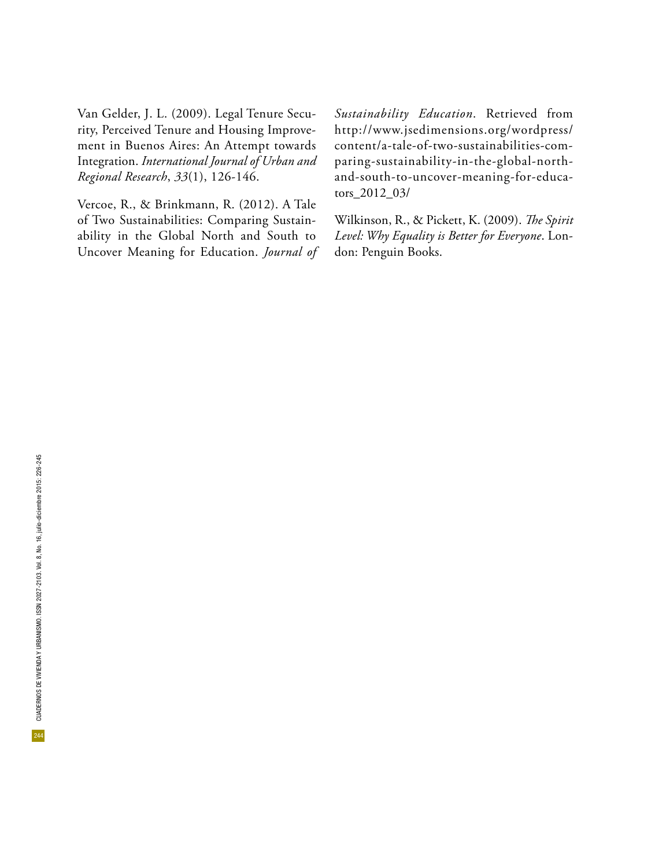Van Gelder, J. L. (2009). Legal Tenure Security, Perceived Tenure and Housing Improvement in Buenos Aires: An Attempt towards Integration. *International Journal of Urban and Regional Research*, *33*(1), 126-146.

Vercoe, R., & Brinkmann, R. (2012). A Tale of Two Sustainabilities: Comparing Sustainability in the Global North and South to Uncover Meaning for Education. *Journal of*  *Sustainability Education*. Retrieved from http://www.jsedimensions.org/wordpress/ content/a-tale-of-two-sustainabilities-comparing-sustainability-in-the-global-northand-south-to-uncover-meaning-for-educators\_2012\_03/

Wilkinson, R., & Pickett, K. (2009). *The Spirit Level: Why Equality is Better for Everyone*. London: Penguin Books.